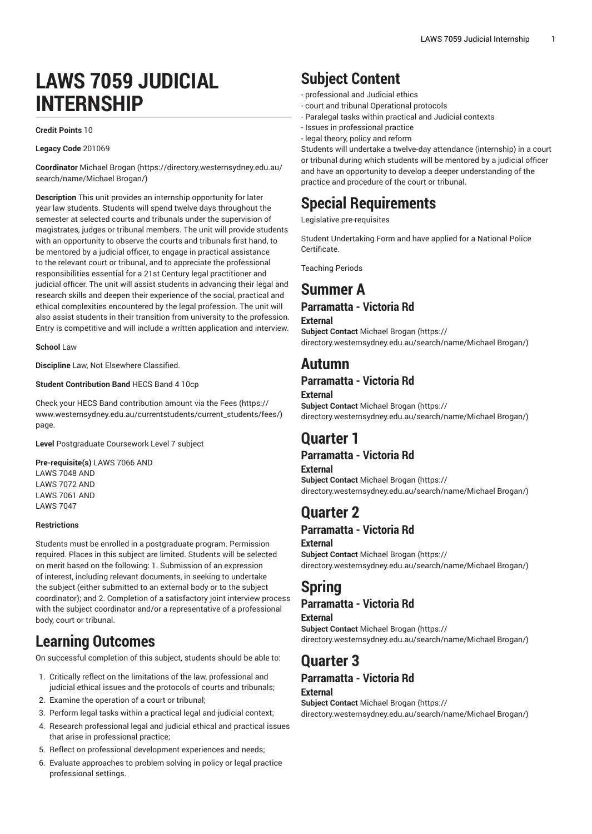# **LAWS 7059 JUDICIAL INTERNSHIP**

#### **Credit Points** 10

#### **Legacy Code** 201069

**Coordinator** [Michael](https://directory.westernsydney.edu.au/search/name/Michael Brogan/) Brogan [\(https://directory.westernsydney.edu.au/](https://directory.westernsydney.edu.au/search/name/Michael Brogan/) [search/name/Michael](https://directory.westernsydney.edu.au/search/name/Michael Brogan/) Brogan/)

**Description** This unit provides an internship opportunity for later year law students. Students will spend twelve days throughout the semester at selected courts and tribunals under the supervision of magistrates, judges or tribunal members. The unit will provide students with an opportunity to observe the courts and tribunals first hand, to be mentored by a judicial officer, to engage in practical assistance to the relevant court or tribunal, and to appreciate the professional responsibilities essential for a 21st Century legal practitioner and judicial officer. The unit will assist students in advancing their legal and research skills and deepen their experience of the social, practical and ethical complexities encountered by the legal profession. The unit will also assist students in their transition from university to the profession. Entry is competitive and will include a written application and interview.

#### **School** Law

**Discipline** Law, Not Elsewhere Classified.

#### **Student Contribution Band** HECS Band 4 10cp

Check your HECS Band contribution amount via the [Fees \(https://](https://www.westernsydney.edu.au/currentstudents/current_students/fees/) [www.westernsydney.edu.au/currentstudents/current\\_students/fees/\)](https://www.westernsydney.edu.au/currentstudents/current_students/fees/) page.

**Level** Postgraduate Coursework Level 7 subject

**Pre-requisite(s)** [LAWS](/search/?P=LAWS%207066) 7066 AND [LAWS](/search/?P=LAWS%207048) 7048 AND [LAWS](/search/?P=LAWS%207072) 7072 AND [LAWS](/search/?P=LAWS%207061) 7061 AND [LAWS](/search/?P=LAWS%207047) 7047

#### **Restrictions**

Students must be enrolled in a postgraduate program. Permission required. Places in this subject are limited. Students will be selected on merit based on the following: 1. Submission of an expression of interest, including relevant documents, in seeking to undertake the subject (either submitted to an external body or to the subject coordinator); and 2. Completion of a satisfactory joint interview process with the subject coordinator and/or a representative of a professional body, court or tribunal.

# **Learning Outcomes**

On successful completion of this subject, students should be able to:

- 1. Critically reflect on the limitations of the law, professional and judicial ethical issues and the protocols of courts and tribunals;
- 2. Examine the operation of a court or tribunal;
- 3. Perform legal tasks within a practical legal and judicial context;
- 4. Research professional legal and judicial ethical and practical issues that arise in professional practice;
- 5. Reflect on professional development experiences and needs;
- 6. Evaluate approaches to problem solving in policy or legal practice professional settings.

# **Subject Content**

- professional and Judicial ethics
- court and tribunal Operational protocols
- Paralegal tasks within practical and Judicial contexts
- Issues in professional practice
- legal theory, policy and reform

Students will undertake a twelve-day attendance (internship) in a court or tribunal during which students will be mentored by a judicial officer and have an opportunity to develop a deeper understanding of the practice and procedure of the court or tribunal.

# **Special Requirements**

Legislative pre-requisites

Student Undertaking Form and have applied for a National Police **Certificate** 

Teaching Periods

## **Summer A Parramatta - Victoria Rd**

### **External**

**Subject Contact** [Michael](https://directory.westernsydney.edu.au/search/name/Michael Brogan/) Brogan ([https://](https://directory.westernsydney.edu.au/search/name/Michael Brogan/) [directory.westernsydney.edu.au/search/name/Michael](https://directory.westernsydney.edu.au/search/name/Michael Brogan/) Brogan/)

## **Autumn**

## **Parramatta - Victoria Rd**

**External**

**Subject Contact** [Michael](https://directory.westernsydney.edu.au/search/name/Michael Brogan/) Brogan ([https://](https://directory.westernsydney.edu.au/search/name/Michael Brogan/) [directory.westernsydney.edu.au/search/name/Michael](https://directory.westernsydney.edu.au/search/name/Michael Brogan/) Brogan/)

# **Quarter 1**

## **Parramatta - Victoria Rd**

**External Subject Contact** [Michael](https://directory.westernsydney.edu.au/search/name/Michael Brogan/) Brogan ([https://](https://directory.westernsydney.edu.au/search/name/Michael Brogan/) [directory.westernsydney.edu.au/search/name/Michael](https://directory.westernsydney.edu.au/search/name/Michael Brogan/) Brogan/)

# **Quarter 2**

## **Parramatta - Victoria Rd**

**External Subject Contact** [Michael](https://directory.westernsydney.edu.au/search/name/Michael Brogan/) Brogan ([https://](https://directory.westernsydney.edu.au/search/name/Michael Brogan/) [directory.westernsydney.edu.au/search/name/Michael](https://directory.westernsydney.edu.au/search/name/Michael Brogan/) Brogan/)

## **Spring**

## **Parramatta - Victoria Rd**

**External Subject Contact** [Michael](https://directory.westernsydney.edu.au/search/name/Michael Brogan/) Brogan ([https://](https://directory.westernsydney.edu.au/search/name/Michael Brogan/) [directory.westernsydney.edu.au/search/name/Michael](https://directory.westernsydney.edu.au/search/name/Michael Brogan/) Brogan/)

# **Quarter 3**

### **Parramatta - Victoria Rd External**

**Subject Contact** [Michael](https://directory.westernsydney.edu.au/search/name/Michael Brogan/) Brogan ([https://](https://directory.westernsydney.edu.au/search/name/Michael Brogan/) [directory.westernsydney.edu.au/search/name/Michael](https://directory.westernsydney.edu.au/search/name/Michael Brogan/) Brogan/)